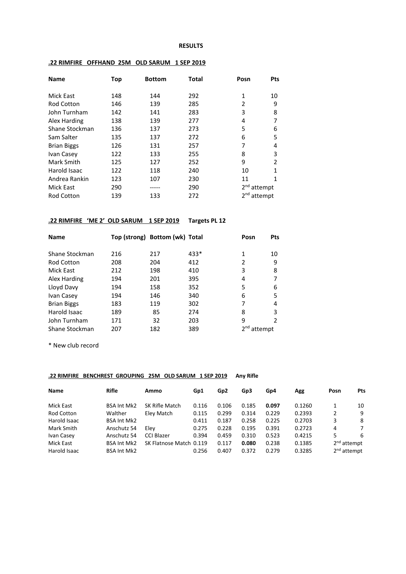#### **RESULTS**

| <b>Name</b>        | Top | <b>Bottom</b> | <b>Total</b> | Posn                    | Pts          |
|--------------------|-----|---------------|--------------|-------------------------|--------------|
| Mick East          | 148 | 144           | 292          | $\mathbf{1}$            | 10           |
| <b>Rod Cotton</b>  | 146 | 139           | 285          | 2                       | 9            |
| John Turnham       | 142 | 141           | 283          | 3                       | 8            |
| Alex Harding       | 138 | 139           | 277          | 4                       | 7            |
| Shane Stockman     | 136 | 137           | 273          | 5                       | 6            |
| Sam Salter         | 135 | 137           | 272          | 6                       | 5            |
| <b>Brian Biggs</b> | 126 | 131           | 257          | 7                       | 4            |
| Ivan Casey         | 122 | 133           | 255          | 8                       | 3            |
| Mark Smith         | 125 | 127           | 252          | 9                       | 2            |
| Harold Isaac       | 122 | 118           | 240          | 10                      | $\mathbf{1}$ |
| Andrea Rankin      | 123 | 107           | 230          | 11                      | 1            |
| Mick East          | 290 |               | 290          | $2nd$ attempt           |              |
| <b>Rod Cotton</b>  | 139 | 133           | 272          | 2 <sup>nd</sup> attempt |              |

### **.22 RIMFIRE OFFHAND 25M OLD SARUM 1 SEP 2019**

## **.22 RIMFIRE 'ME 2' OLD SARUM 1 SEP 2019 Targets PL 12**

| <b>Name</b>        |     | Top (strong) Bottom (wk) Total |        | Posn    | Pts |
|--------------------|-----|--------------------------------|--------|---------|-----|
| Shane Stockman     | 216 | 217                            | $433*$ | 1       | 10  |
| <b>Rod Cotton</b>  | 208 | 204                            | 412    | 2       | 9   |
| Mick East          | 212 | 198                            | 410    | 3       | 8   |
| Alex Harding       | 194 | 201                            | 395    | 4       |     |
| Lloyd Davy         | 194 | 158                            | 352    | 5       | 6   |
| Ivan Casey         | 194 | 146                            | 340    | 6       | 5   |
| <b>Brian Biggs</b> | 183 | 119                            | 302    | 7       | 4   |
| Harold Isaac       | 189 | 85                             | 274    | 8       | 3   |
| John Turnham       | 171 | 32                             | 203    | 9       | 2   |
| Shane Stockman     | 207 | 182                            | 389    | attempt |     |

\* New club record

### **.22 RIMFIRE BENCHREST GROUPING 25M OLD SARUM 1 SEP 2019 Any Rifle**

| <b>Name</b>      | <b>Rifle</b>       | Ammo                    | Gp1   | Gp <sub>2</sub> | Gp3   | Gp4   | Agg    | Posn                    | Pts |
|------------------|--------------------|-------------------------|-------|-----------------|-------|-------|--------|-------------------------|-----|
| <b>Mick East</b> | <b>BSA Int Mk2</b> | SK Rifle Match          | 0.116 | 0.106           | 0.185 | 0.097 | 0.1260 |                         | 10  |
| Rod Cotton       | Walther            | Eley Match              | 0.115 | 0.299           | 0.314 | 0.229 | 0.2393 | 2                       | 9   |
| Harold Isaac     | <b>BSA Int Mk2</b> |                         | 0.411 | 0.187           | 0.258 | 0.225 | 0.2703 | 3                       | 8   |
| Mark Smith       | Anschutz 54        | Elev                    | 0.275 | 0.228           | 0.195 | 0.391 | 0.2723 | 4                       | 7   |
| Ivan Casey       | Anschutz 54        | CCI Blazer              | 0.394 | 0.459           | 0.310 | 0.523 | 0.4215 | 5                       | -6  |
| Mick East        | <b>BSA Int Mk2</b> | SK Flatnose Match 0.119 |       | 0.117           | 0.080 | 0.238 | 0.1385 | $2nd$ attempt           |     |
| Harold Isaac     | <b>BSA Int Mk2</b> |                         | 0.256 | 0.407           | 0.372 | 0.279 | 0.3285 | 2 <sup>nd</sup> attempt |     |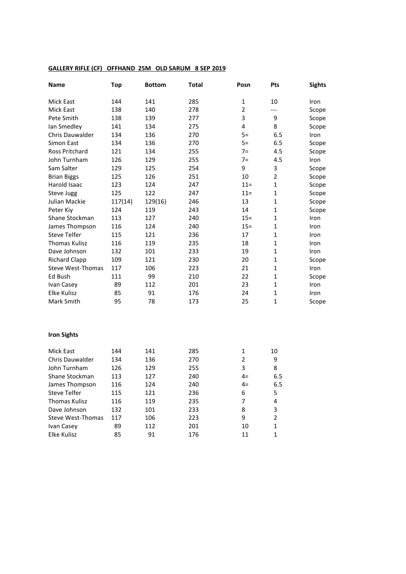### **GALLERY RIFLE (CF) OFFHAND 25M OLD SARUM 8 SEP 2019**

| Name                     | <b>Top</b> | <b>Bottom</b> | Total | Posn           | <b>Pts</b>              | <b>Sights</b> |
|--------------------------|------------|---------------|-------|----------------|-------------------------|---------------|
| Mick East                | 144        | 141           | 285   | $\mathbf{1}$   | 10                      | Iron          |
| Mick East                | 138        | 140           | 278   | $\overline{2}$ | $---$                   | Scope         |
| Pete Smith               | 138        | 139           | 277   | 3              | 9                       | Scope         |
| lan Smedley              | 141        | 134           | 275   | 4              | 8                       | Scope         |
| Chris Dauwalder          | 134        | 136           | 270   | $5=$           | 6.5                     | Iron          |
| Simon East               | 134        | 136           | 270   | $5=$           | 6.5                     | Scope         |
| Ross Pritchard           | 121        | 134           | 255   | $7=$           | 4.5                     | Scope         |
| John Turnham             | 126        | 129           | 255   | $7=$           | 4.5                     | Iron          |
| Sam Salter               | 129        | 125           | 254   | 9              | 3                       | Scope         |
| <b>Brian Biggs</b>       | 125        | 126           | 251   | 10             | $\overline{2}$          | Scope         |
| Harold Isaac             | 123        | 124           | 247   | $11 =$         | $\mathbf{1}$            | Scope         |
| Steve Jugg               | 125        | 122           | 247   | $11 =$         | 1                       | Scope         |
| Julian Mackie            | 117(14)    | 129(16)       | 246   | 13             | $\mathbf{1}$            | Scope         |
| Peter Kiy                | 124        | 119           | 243   | 14             | $\mathbf{1}$            | Scope         |
| Shane Stockman           | 113        | 127           | 240   | $15 =$         | $\mathbf{1}$            | Iron          |
| James Thompson           | 116        | 124           | 240   | $15 =$         | $\mathbf{1}$            | Iron          |
| <b>Steve Telfer</b>      | 115        | 121           | 236   | 17             | $\mathbf{1}$            | Iron          |
| <b>Thomas Kulisz</b>     | 116        | 119           | 235   | 18             | $\mathbf{1}$            | Iron          |
| Dave Johnson             | 132        | 101           | 233   | 19             | $\mathbf{1}$            | Iron          |
| <b>Richard Clapp</b>     | 109        | 121           | 230   | 20             | $\mathbf{1}$            | Scope         |
| <b>Steve West-Thomas</b> | 117        | 106           | 223   | 21             | $\mathbf{1}$            | Iron          |
| Ed Bush                  | 111        | 99            | 210   | 22             | $\mathbf{1}$            | Scope         |
| Ivan Casey               | 89         | 112           | 201   | 23             | $\mathbf{1}$            | Iron          |
| Elke Kulisz              | 85         | 91            | 176   | 24             | $\mathbf{1}$            | Iron          |
| Mark Smith               | 95         | 78            | 173   | 25             | $\mathbf{1}$            | Scope         |
| <b>Iron Sights</b>       |            |               |       |                |                         |               |
| <b>Mick East</b>         | 144        | 141           | 285   | $\mathbf{1}$   | 10                      |               |
| <b>Chris Dauwalder</b>   | 134        | 136           | 270   | $\overline{2}$ | 9                       |               |
| John Turnham             | 126        | 129           | 255   | 3              | 8                       |               |
| Shane Stockman           | 113        | 127           | 240   | $4=$           | 6.5                     |               |
| James Thompson           | 116        | 124           | 240   | $4=$           | 6.5                     |               |
| <b>Steve Telfer</b>      | 115        | 121           | 236   | 6              | 5                       |               |
| <b>Thomas Kulisz</b>     | 116        | 119           | 235   | 7              | $\overline{\mathbf{4}}$ |               |
| Dave Johnson             | 132        | 101           | 233   | 8              | 3                       |               |

Steve West-Thomas 117 106 223 9 2 Ivan Casey 89 112 201 10 1

Elke Kulisz 85 91 176 11 1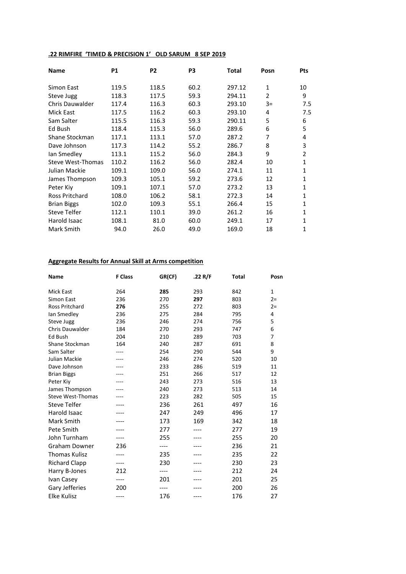## **.22 RIMFIRE 'TIMED & PRECISION 1' OLD SARUM 8 SEP 2019**

| <b>Name</b>           | <b>P1</b> | P <sub>2</sub> | P3   | Total  | Posn           | <b>Pts</b>     |
|-----------------------|-----------|----------------|------|--------|----------------|----------------|
| Simon East            | 119.5     | 118.5          | 60.2 | 297.12 | 1              | 10             |
| Steve Jugg            | 118.3     | 117.5          | 59.3 | 294.11 | $\overline{2}$ | 9              |
| Chris Dauwalder       | 117.4     | 116.3          | 60.3 | 293.10 | $3=$           | 7.5            |
| <b>Mick East</b>      | 117.5     | 116.2          | 60.3 | 293.10 | 4              | 7.5            |
| Sam Salter            | 115.5     | 116.3          | 59.3 | 290.11 | 5              | 6              |
| Ed Bush               | 118.4     | 115.3          | 56.0 | 289.6  | 6              | 5              |
| Shane Stockman        | 117.1     | 113.1          | 57.0 | 287.2  | 7              | 4              |
| Dave Johnson          | 117.3     | 114.2          | 55.2 | 286.7  | 8              | 3              |
| lan Smedley           | 113.1     | 115.2          | 56.0 | 284.3  | 9              | $\overline{2}$ |
| Steve West-Thomas     | 110.2     | 116.2          | 56.0 | 282.4  | 10             | 1              |
| Julian Mackie         | 109.1     | 109.0          | 56.0 | 274.1  | 11             | 1              |
| James Thompson        | 109.3     | 105.1          | 59.2 | 273.6  | 12             | 1              |
| Peter Kiv             | 109.1     | 107.1          | 57.0 | 273.2  | 13             | 1              |
| <b>Ross Pritchard</b> | 108.0     | 106.2          | 58.1 | 272.3  | 14             | 1              |
| <b>Brian Biggs</b>    | 102.0     | 109.3          | 55.1 | 266.4  | 15             | 1              |
| <b>Steve Telfer</b>   | 112.1     | 110.1          | 39.0 | 261.2  | 16             | 1              |
| Harold Isaac          | 108.1     | 81.0           | 60.0 | 249.1  | 17             | 1              |
| Mark Smith            | 94.0      | 26.0           | 49.0 | 169.0  | 18             | 1              |

## **Aggregate Results for Annual Skill at Arms competition**

| Name                     | <b>F Class</b> | GR(CF) | .22 R/F | Total | Posn  |
|--------------------------|----------------|--------|---------|-------|-------|
| <b>Mick East</b>         | 264            | 285    | 293     | 842   | 1     |
| Simon East               | 236            | 270    | 297     | 803   | $2=$  |
| <b>Ross Pritchard</b>    | 276            | 255    | 272     | 803   | $2 =$ |
| lan Smedley              | 236            | 275    | 284     | 795   | 4     |
| Steve Jugg               | 236            | 246    | 274     | 756   | 5     |
| <b>Chris Dauwalder</b>   | 184            | 270    | 293     | 747   | 6     |
| Ed Bush                  | 204            | 210    | 289     | 703   | 7     |
| Shane Stockman           | 164            | 240    | 287     | 691   | 8     |
| Sam Salter               | ----           | 254    | 290     | 544   | 9     |
| Julian Mackie            | ----           | 246    | 274     | 520   | 10    |
| Dave Johnson             |                | 233    | 286     | 519   | 11    |
| <b>Brian Biggs</b>       |                | 251    | 266     | 517   | 12    |
| Peter Kiy                |                | 243    | 273     | 516   | 13    |
| James Thompson           |                | 240    | 273     | 513   | 14    |
| <b>Steve West-Thomas</b> |                | 223    | 282     | 505   | 15    |
| <b>Steve Telfer</b>      | ----           | 236    | 261     | 497   | 16    |
| Harold Isaac             |                | 247    | 249     | 496   | 17    |
| Mark Smith               |                | 173    | 169     | 342   | 18    |
| Pete Smith               | ----           | 277    | ----    | 277   | 19    |
| John Turnham             | ----           | 255    | ----    | 255   | 20    |
| <b>Graham Downer</b>     | 236            | ----   |         | 236   | 21    |
| <b>Thomas Kulisz</b>     | ----           | 235    | ----    | 235   | 22    |
| <b>Richard Clapp</b>     | ----           | 230    | ----    | 230   | 23    |
| Harry B-Jones            | 212            | ----   |         | 212   | 24    |
| Ivan Casey               | ----           | 201    |         | 201   | 25    |
| Gary Jefferies           | 200            | ----   |         | 200   | 26    |
| <b>Elke Kulisz</b>       | ----           | 176    | ----    | 176   | 27    |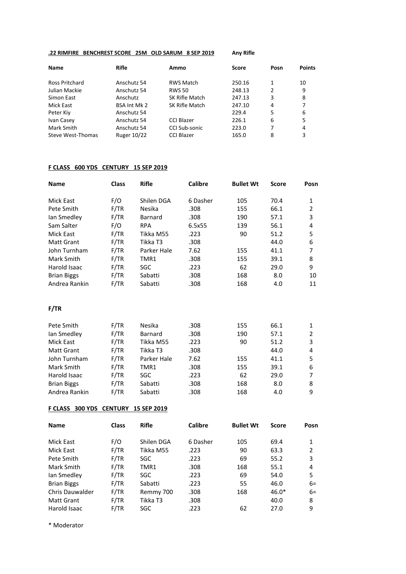## **.22 RIMFIRE BENCHREST SCORE 25M OLD SARUM 8 SEP 2019 Any Rifle**

| <b>Name</b>           | Rifle               | Ammo             | <b>Score</b> | Posn           | <b>Points</b> |
|-----------------------|---------------------|------------------|--------------|----------------|---------------|
| <b>Ross Pritchard</b> | Anschutz 54         | <b>RWS Match</b> | 250.16       | 1              | 10            |
| Julian Mackie         | Anschutz 54         | <b>RWS 50</b>    | 248.13       | 2              | 9             |
| Simon East            | Anschutz            | SK Rifle Match   | 247.13       | 3              | 8             |
| Mick East             | <b>BSA Int Mk 2</b> | SK Rifle Match   | 247.10       | $\overline{4}$ | 7             |
| Peter Kiy             | Anschutz 54         |                  | 229.4        | 5              | 6             |
| Ivan Casey            | Anschutz 54         | CCI Blazer       | 226.1        | 6              | 5             |
| Mark Smith            | Anschutz 54         | CCI Sub-sonic    | 223.0        | 7              | 4             |
| Steve West-Thomas     | Ruger 10/22         | CCI Blazer       | 165.0        | 8              | 3             |

### **F CLASS 600 YDS CENTURY 15 SEP 2019**

| <b>Name</b>        | <b>Class</b> | <b>Rifle</b> | Calibre  | <b>Bullet Wt</b> | <b>Score</b> | Posn |
|--------------------|--------------|--------------|----------|------------------|--------------|------|
| Mick East          | F/O          | Shilen DGA   | 6 Dasher | 105              | 70.4         | 1    |
| Pete Smith         | F/TR         | Nesika       | .308     | 155              | 66.1         | 2    |
| lan Smedley        | F/TR         | Barnard      | .308     | 190              | 57.1         | 3    |
| Sam Salter         | F/O          | <b>RPA</b>   | 6.5x55   | 139              | 56.1         | 4    |
| Mick East          | F/TR         | Tikka M55    | .223     | 90               | 51.2         | 5    |
| Matt Grant         | F/TR         | Tikka T3     | .308     |                  | 44.0         | 6    |
| John Turnham       | F/TR         | Parker Hale  | 7.62     | 155              | 41.1         | 7    |
| Mark Smith         | F/TR         | TMR1         | .308     | 155              | 39.1         | 8    |
| Harold Isaac       | F/TR         | SGC          | .223     | 62               | 29.0         | 9    |
| <b>Brian Biggs</b> | F/TR         | Sabatti      | .308     | 168              | 8.0          | 10   |
| Andrea Rankin      | F/TR         | Sabatti      | .308     | 168              | 4.0          | 11   |

**F/TR**

| Pete Smith         | F/TR | <b>Nesika</b> | .308 | 155 | 66.1 | 1              |
|--------------------|------|---------------|------|-----|------|----------------|
| lan Smedley        | F/TR | Barnard       | .308 | 190 | 57.1 | $\overline{2}$ |
| Mick East          | F/TR | Tikka M55     | .223 | 90  | 51.2 | 3              |
| Matt Grant         | F/TR | Tikka T3      | .308 |     | 44.0 | 4              |
| John Turnham       | F/TR | Parker Hale   | 7.62 | 155 | 41.1 | 5              |
| Mark Smith         | F/TR | TMR1          | .308 | 155 | 39.1 | 6              |
| Harold Isaac       | F/TR | SGC.          | .223 | 62  | 29.0 | 7              |
| <b>Brian Biggs</b> | F/TR | Sabatti       | .308 | 168 | 8.0  | 8              |
| Andrea Rankin      | F/TR | Sabatti       | .308 | 168 | 4.0  | 9              |

## **F CLASS 300 YDS CENTURY 15 SEP 2019**

| <b>Name</b>            | <b>Class</b> | <b>Rifle</b> | <b>Calibre</b> | <b>Bullet Wt</b> | <b>Score</b> | Posn           |
|------------------------|--------------|--------------|----------------|------------------|--------------|----------------|
| <b>Mick East</b>       | F/O          | Shilen DGA   | 6 Dasher       | 105              | 69.4         | 1              |
| Mick East              | F/TR         | Tikka M55    | .223           | 90               | 63.3         | $\overline{2}$ |
| Pete Smith             | F/TR         | SGC          | .223           | 69               | 55.2         | 3              |
| Mark Smith             | F/TR         | TMR1         | .308           | 168              | 55.1         | 4              |
| lan Smedley            | F/TR         | SGC          | .223           | 69               | 54.0         | 5              |
| <b>Brian Biggs</b>     | F/TR         | Sabatti      | .223           | 55               | 46.0         | $6=$           |
| <b>Chris Dauwalder</b> | F/TR         | Remmy 700    | .308           | 168              | $46.0*$      | $6=$           |
| <b>Matt Grant</b>      | F/TR         | Tikka T3     | .308           |                  | 40.0         | 8              |
| Harold Isaac           | F/TR         | SGC.         | .223           | 62               | 27.0         | 9              |

\* Moderator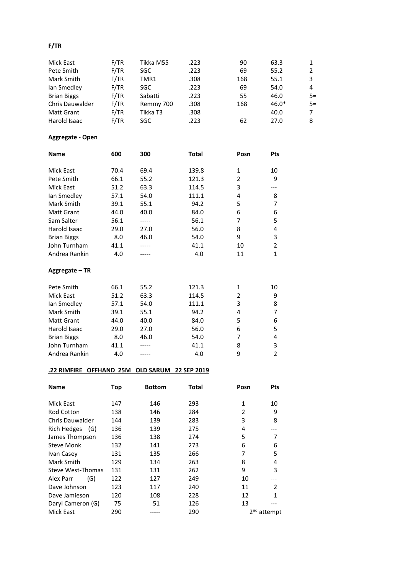## **F/TR**

| Mick East              | F/TR | Tikka M55 | .223 | 90  | 63.3    | 1              |
|------------------------|------|-----------|------|-----|---------|----------------|
| Pete Smith             | F/TR | SGC.      | .223 | 69  | 55.2    | $\overline{2}$ |
| Mark Smith             | F/TR | TMR1      | .308 | 168 | 55.1    | 3              |
| lan Smedley            | F/TR | SGC.      | .223 | 69  | 54.0    | 4              |
| <b>Brian Biggs</b>     | F/TR | Sabatti   | .223 | 55  | 46.0    | $5=$           |
| <b>Chris Dauwalder</b> | F/TR | Remmy 700 | .308 | 168 | $46.0*$ | $5=$           |
| Matt Grant             | F/TR | Tikka T3  | .308 |     | 40.0    | 7              |
| Harold Isaac           | F/TR | SGC.      | .223 | 62  | 27.0    | 8              |

# **Aggregate - Open**

| <b>Name</b>        | 600  | 300  | <b>Total</b> | Posn | Pts            |
|--------------------|------|------|--------------|------|----------------|
|                    |      |      |              |      |                |
| Mick East          | 70.4 | 69.4 | 139.8        | 1    | 10             |
| Pete Smith         | 66.1 | 55.2 | 121.3        | 2    | 9              |
| Mick East          | 51.2 | 63.3 | 114.5        | 3    |                |
| lan Smedley        | 57.1 | 54.0 | 111.1        | 4    | 8              |
| Mark Smith         | 39.1 | 55.1 | 94.2         | 5    | 7              |
| <b>Matt Grant</b>  | 44.0 | 40.0 | 84.0         | 6    | 6              |
| Sam Salter         | 56.1 |      | 56.1         | 7    | 5              |
| Harold Isaac       | 29.0 | 27.0 | 56.0         | 8    | 4              |
| <b>Brian Biggs</b> | 8.0  | 46.0 | 54.0         | 9    | 3              |
| John Turnham       | 41.1 |      | 41.1         | 10   | $\mathfrak{p}$ |
| Andrea Rankin      | 4.0  |      | 4.0          | 11   |                |

## **Aggregate – TR**

| Pete Smith         | 66.1 | 55.2 | 121.3 | 1 | 10 |
|--------------------|------|------|-------|---|----|
| Mick East          | 51.2 | 63.3 | 114.5 | 2 | 9  |
| lan Smedley        | 57.1 | 54.0 | 111.1 | 3 | 8  |
| Mark Smith         | 39.1 | 55.1 | 94.2  | 4 | 7  |
| Matt Grant         | 44.0 | 40.0 | 84.0  | 5 | 6  |
| Harold Isaac       | 29.0 | 27.0 | 56.0  | 6 | 5. |
| <b>Brian Biggs</b> | 8.0  | 46.0 | 54.0  | 7 | 4  |
| John Turnham       | 41.1 |      | 41.1  | 8 | 3  |
| Andrea Rankin      | 4.0  |      | 4.0   | 9 | 2  |
|                    |      |      |       |   |    |

## **.22 RIMFIRE OFFHAND 25M OLD SARUM 22 SEP 2019**

| <b>Name</b>               | Top | <b>Bottom</b> | <b>Total</b> | Posn          | Pts            |
|---------------------------|-----|---------------|--------------|---------------|----------------|
| Mick East                 | 147 | 146           | 293          | 1             | 10             |
| <b>Rod Cotton</b>         | 138 | 146           | 284          | 2             | 9              |
| Chris Dauwalder           | 144 | 139           | 283          | 3             | 8              |
| <b>Rich Hedges</b><br>(G) | 136 | 139           | 275          | 4             |                |
| James Thompson            | 136 | 138           | 274          | 5             | 7              |
| <b>Steve Monk</b>         | 132 | 141           | 273          | 6             | 6              |
| Ivan Casey                | 131 | 135           | 266          | 7             | 5              |
| Mark Smith                | 129 | 134           | 263          | 8             | 4              |
| Steve West-Thomas         | 131 | 131           | 262          | 9             | 3              |
| Alex Parr<br>(G)          | 122 | 127           | 249          | 10            |                |
| Dave Johnson              | 123 | 117           | 240          | 11            | $\overline{2}$ |
| Dave Jamieson             | 120 | 108           | 228          | 12            | 1              |
| Daryl Cameron (G)         | 75  | 51            | 126          | 13            |                |
| Mick East                 | 290 |               | 290          | $2nd$ attempt |                |